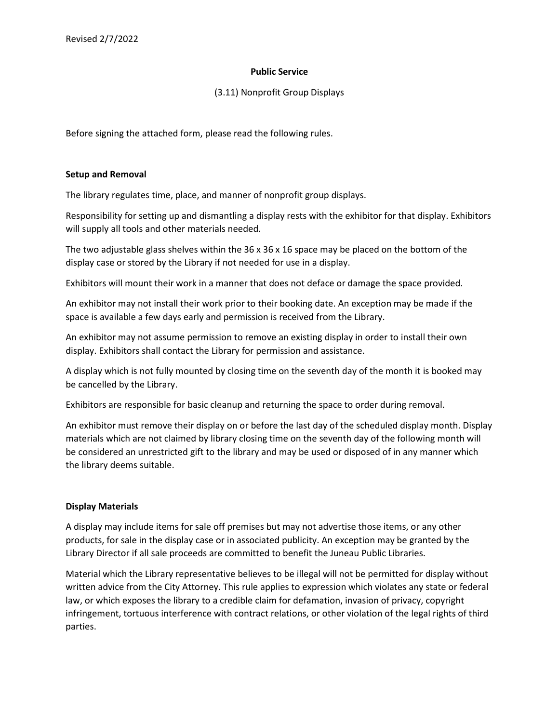### **Public Service**

## (3.11) Nonprofit Group Displays

Before signing the attached form, please read the following rules.

### **Setup and Removal**

The library regulates time, place, and manner of nonprofit group displays.

Responsibility for setting up and dismantling a display rests with the exhibitor for that display. Exhibitors will supply all tools and other materials needed.

The two adjustable glass shelves within the 36 x 36 x 16 space may be placed on the bottom of the display case or stored by the Library if not needed for use in a display.

Exhibitors will mount their work in a manner that does not deface or damage the space provided.

An exhibitor may not install their work prior to their booking date. An exception may be made if the space is available a few days early and permission is received from the Library.

An exhibitor may not assume permission to remove an existing display in order to install their own display. Exhibitors shall contact the Library for permission and assistance.

A display which is not fully mounted by closing time on the seventh day of the month it is booked may be cancelled by the Library.

Exhibitors are responsible for basic cleanup and returning the space to order during removal.

An exhibitor must remove their display on or before the last day of the scheduled display month. Display materials which are not claimed by library closing time on the seventh day of the following month will be considered an unrestricted gift to the library and may be used or disposed of in any manner which the library deems suitable.

### **Display Materials**

A display may include items for sale off premises but may not advertise those items, or any other products, for sale in the display case or in associated publicity. An exception may be granted by the Library Director if all sale proceeds are committed to benefit the Juneau Public Libraries.

Material which the Library representative believes to be illegal will not be permitted for display without written advice from the City Attorney. This rule applies to expression which violates any state or federal law, or which exposes the library to a credible claim for defamation, invasion of privacy, copyright infringement, tortuous interference with contract relations, or other violation of the legal rights of third parties.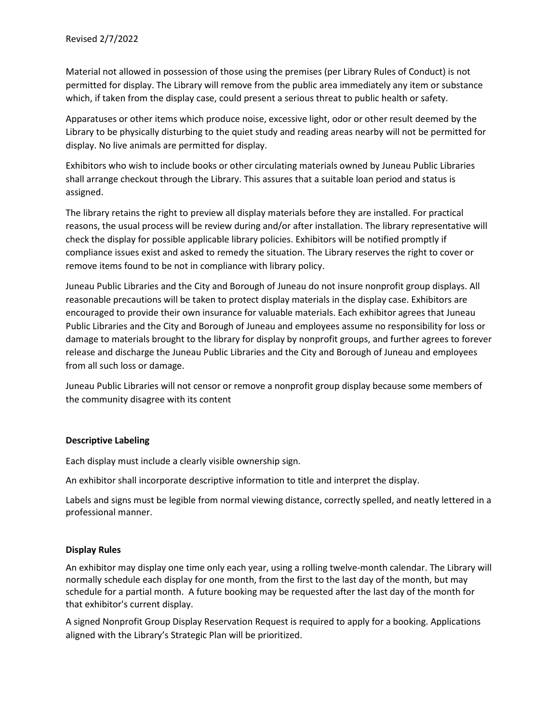Material not allowed in possession of those using the premises (per Library Rules of Conduct) is not permitted for display. The Library will remove from the public area immediately any item or substance which, if taken from the display case, could present a serious threat to public health or safety.

Apparatuses or other items which produce noise, excessive light, odor or other result deemed by the Library to be physically disturbing to the quiet study and reading areas nearby will not be permitted for display. No live animals are permitted for display.

Exhibitors who wish to include books or other circulating materials owned by Juneau Public Libraries shall arrange checkout through the Library. This assures that a suitable loan period and status is assigned.

The library retains the right to preview all display materials before they are installed. For practical reasons, the usual process will be review during and/or after installation. The library representative will check the display for possible applicable library policies. Exhibitors will be notified promptly if compliance issues exist and asked to remedy the situation. The Library reserves the right to cover or remove items found to be not in compliance with library policy.

Juneau Public Libraries and the City and Borough of Juneau do not insure nonprofit group displays. All reasonable precautions will be taken to protect display materials in the display case. Exhibitors are encouraged to provide their own insurance for valuable materials. Each exhibitor agrees that Juneau Public Libraries and the City and Borough of Juneau and employees assume no responsibility for loss or damage to materials brought to the library for display by nonprofit groups, and further agrees to forever release and discharge the Juneau Public Libraries and the City and Borough of Juneau and employees from all such loss or damage.

Juneau Public Libraries will not censor or remove a nonprofit group display because some members of the community disagree with its content

### **Descriptive Labeling**

Each display must include a clearly visible ownership sign.

An exhibitor shall incorporate descriptive information to title and interpret the display.

Labels and signs must be legible from normal viewing distance, correctly spelled, and neatly lettered in a professional manner.

### **Display Rules**

An exhibitor may display one time only each year, using a rolling twelve-month calendar. The Library will normally schedule each display for one month, from the first to the last day of the month, but may schedule for a partial month. A future booking may be requested after the last day of the month for that exhibitor's current display.

A signed Nonprofit Group Display Reservation Request is required to apply for a booking. Applications aligned with the Library's Strategic Plan will be prioritized.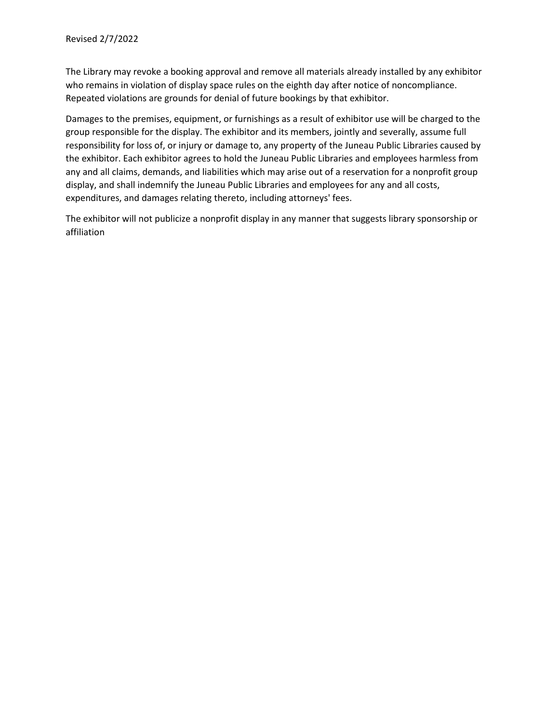The Library may revoke a booking approval and remove all materials already installed by any exhibitor who remains in violation of display space rules on the eighth day after notice of noncompliance. Repeated violations are grounds for denial of future bookings by that exhibitor.

Damages to the premises, equipment, or furnishings as a result of exhibitor use will be charged to the group responsible for the display. The exhibitor and its members, jointly and severally, assume full responsibility for loss of, or injury or damage to, any property of the Juneau Public Libraries caused by the exhibitor. Each exhibitor agrees to hold the Juneau Public Libraries and employees harmless from any and all claims, demands, and liabilities which may arise out of a reservation for a nonprofit group display, and shall indemnify the Juneau Public Libraries and employees for any and all costs, expenditures, and damages relating thereto, including attorneys' fees.

The exhibitor will not publicize a nonprofit display in any manner that suggests library sponsorship or affiliation